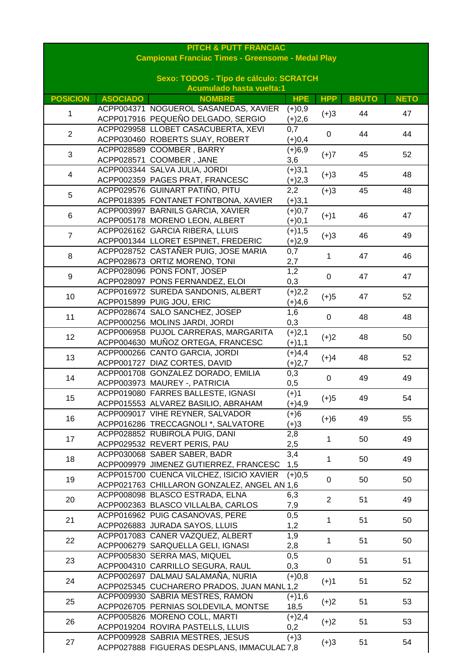| <b>PITCH &amp; PUTT FRANCIAC</b> |                 |                                                                        |            |                |              |             |
|----------------------------------|-----------------|------------------------------------------------------------------------|------------|----------------|--------------|-------------|
|                                  |                 | <b>Campionat Franciac Times - Greensome - Medal Play</b>               |            |                |              |             |
|                                  |                 |                                                                        |            |                |              |             |
|                                  |                 | Sexo: TODOS - Tipo de cálculo: SCRATCH                                 |            |                |              |             |
|                                  |                 | <b>Acumulado hasta vuelta:1</b>                                        |            |                |              |             |
| <b>POSICION</b>                  | <b>ASOCIADO</b> | <b>NOMBRE</b>                                                          | <b>HPE</b> | <b>HPP</b>     | <b>BRUTO</b> | <b>NETO</b> |
|                                  |                 | ACPP004371 NOGUEROL SASANEDAS, XAVIER                                  | $(+)0,9$   |                | 44           |             |
| 1                                |                 | ACPP017916 PEQUEÑO DELGADO, SERGIO                                     | $(+)2,6$   | $(+)3$         |              | 47          |
| $\overline{2}$                   |                 | ACPP029958 LLOBET CASACUBERTA, XEVI                                    | 0,7        | 0              | 44           | 44          |
|                                  |                 | ACPP030460 ROBERTS SUAY, ROBERT                                        | $(+)0,4$   |                |              |             |
| 3                                |                 | ACPP028589 COOMBER, BARRY                                              | $(+)6,9$   | $(+)7$         | 45           | 52          |
|                                  |                 | ACPP028571 COOMBER, JANE                                               | 3,6        |                |              |             |
| $\overline{4}$                   |                 | ACPP003344 SALVA JULIA, JORDI                                          | $(+)3,1$   | $(+)3$         | 45           | 48          |
|                                  |                 | ACPP002359 PAGES PRAT, FRANCESC                                        | $(+)2,3$   |                |              |             |
| 5                                |                 | ACPP029576 GUINART PATIÑO, PITU                                        | 2,2        | $(+)3$         | 45           | 48          |
|                                  |                 | ACPP018395 FONTANET FONTBONA, XAVIER                                   | $(+)3,1$   |                |              |             |
| 6                                |                 | ACPP003997 BARNILS GARCIA, XAVIER                                      | $(+)0,7$   | $(+)1$         | 46           | 47          |
|                                  |                 | ACPP005178 MORENO LEON, ALBERT                                         | $(+)0,1$   |                |              |             |
| $\overline{7}$                   |                 | ACPP026162 GARCIA RIBERA, LLUIS                                        | $(+)1,5$   | $(+)3$         | 46           | 49          |
|                                  |                 | ACPP001344 LLORET ESPINET, FREDERIC                                    | $(+)2,9$   |                |              |             |
| $\bf 8$                          |                 | ACPP028752 CASTAÑER PUIG, JOSE MARIA                                   | 0,7        | 1              | 47           | 46          |
|                                  |                 | ACPP028673 ORTIZ MORENO, TONI                                          | 2,7        |                |              |             |
| $\boldsymbol{9}$                 |                 | ACPP028096 PONS FONT, JOSEP                                            | 1,2        | 0              | 47           | 47          |
|                                  |                 | ACPP028097 PONS FERNANDEZ, ELOI                                        | 0,3        |                |              |             |
| 10                               |                 | ACPP016972 SUREDA SANDONIS, ALBERT                                     | $(+)2,2$   | $(+)5$         | 47           | 52          |
|                                  |                 | ACPP015899 PUIG JOU, ERIC                                              | $(+)4,6$   |                |              |             |
| 11                               |                 | ACPP028674 SALO SANCHEZ, JOSEP                                         | 1,6        | $\pmb{0}$      | 48           | 48          |
|                                  |                 | ACPP000256 MOLINS JARDI, JORDI                                         | 0,3        |                |              |             |
| 12                               |                 | ACPP006958 PUJOL CARRERAS, MARGARITA                                   | $(+)2,1$   | $(+)2$         | 48           | 50          |
|                                  |                 | ACPP004630 MUÑOZ ORTEGA, FRANCESC                                      | $(+)1,1$   |                |              |             |
| 13                               |                 | ACPP000266 CANTO GARCIA, JORDI                                         | $(+)4,4$   | $(+)4$         | 48           | 52          |
|                                  |                 | ACPP001727 DIAZ CORTES, DAVID                                          | $(+)2,7$   |                |              |             |
| 14                               |                 | ACPP001708 GONZALEZ DORADO, EMILIA                                     | 0,3        | $\pmb{0}$      | 49           | 49          |
|                                  |                 | ACPP003973 MAUREY -, PATRICIA                                          | 0,5        |                |              |             |
| 15                               |                 | ACPP019080 FARRES BALLESTE, IGNASI                                     | $(+)1$     | $(+)5$         | 49           | 54          |
|                                  |                 | ACPP015553 ALVAREZ BASILIO, ABRAHAM                                    | $(+)4,9$   |                |              |             |
| 16                               |                 | ACPP009017 VIHE REYNER, SALVADOR                                       | $(+)6$     | $(+)6$         | 49           | 55          |
|                                  |                 | ACPP016286 TRECCAGNOLI *, SALVATORE                                    | $(+)3$     |                |              |             |
| 17                               |                 | ACPP028852 RUBIROLA PUIG, DANI                                         | 2,8        | $\mathbf{1}$   | 50           | 49          |
|                                  |                 | ACPP029532 REVERT PERIS, PAU                                           | 2,5        |                |              |             |
| 18                               |                 | ACPP030068 SABER SABER, BADR<br>ACPP009979 JIMENEZ GUTIERREZ, FRANCESC | 3,4        | 1              | 50           | 49          |
|                                  |                 | ACPP015700 CUENCA VILCHEZ, ISICIO XAVIER                               | 1,5        |                |              |             |
| 19                               |                 | ACPP021763 CHILLARON GONZALEZ, ANGEL AN 1,6                            | $(+)0,5$   | 0              | 50           | 50          |
|                                  |                 | ACPP008098 BLASCO ESTRADA, ELNA                                        | 6,3        |                |              |             |
| 20                               |                 | ACPP002363 BLASCO VILLALBA, CARLOS                                     |            | $\overline{c}$ | 51           | 49          |
|                                  |                 | ACPP016962 PUIG CASANOVAS, PERE                                        | 7,9<br>0,5 |                |              |             |
| 21                               |                 | ACPP026883 JURADA SAYOS, LLUIS                                         | 1,2        | 1              | 51           | 50          |
|                                  |                 | ACPP017083 CANER VAZQUEZ, ALBERT                                       | 1,9        |                |              |             |
| 22                               |                 | ACPP006279 SARQUELLA GELI, IGNASI                                      | 2,8        | 1              | 51           | 50          |
|                                  |                 | ACPP005830 SERRA MAS, MIQUEL                                           | 0,5        |                |              |             |
| 23                               |                 | ACPP004310 CARRILLO SEGURA, RAUL                                       | 0,3        | 0              | 51           | 51          |
|                                  |                 | ACPP002697 DALMAU SALAMAÑA, NURIA                                      | $(+)0,8$   |                |              |             |
| 24                               |                 | ACPP025345 CUCHARERO PRADOS, JUAN MANL 1,2                             |            | $(+)1$         | 51           | 52          |
|                                  |                 | ACPP009930 SABRIA MESTRES, RAMON                                       | $(+)1,6$   |                |              |             |
| 25                               |                 | ACPP026705 PERNIAS SOLDEVILA, MONTSE                                   | 18,5       | $(+)2$         | 51           | 53          |
|                                  |                 | ACPP005826 MORENO COLL, MARTI                                          | $(+)2,4$   |                |              |             |
| 26                               |                 | ACPP019204 ROVIRA PASTELLS, LLUIS                                      | 0,2        | $(+)2$         | 51           | 53          |
|                                  |                 | ACPP009928 SABRIA MESTRES, JESUS                                       | $(+)3$     |                |              |             |
| 27                               |                 | ACPP027888 FIGUERAS DESPLANS, IMMACULAD7,8                             |            | $(+)3$         | 51           | 54          |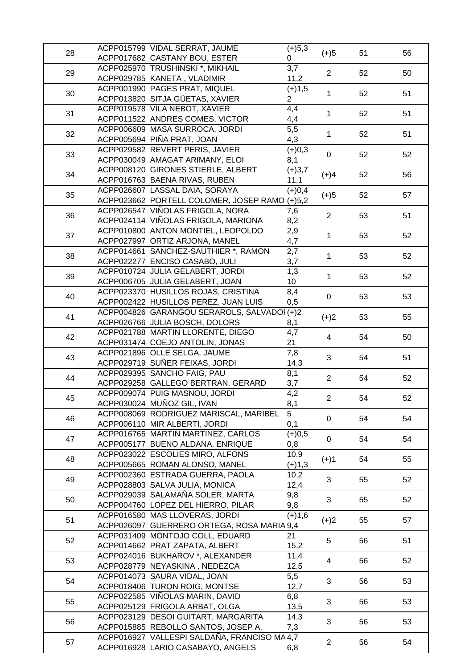|    | ACPP015799 VIDAL SERRAT, JAUME                | $(+)5,3$       |                |    |    |
|----|-----------------------------------------------|----------------|----------------|----|----|
| 28 | ACPP017682 CASTANY BOU, ESTER                 | 0              | $(+)5$         | 51 | 56 |
|    | ACPP025970 TRUSHINSKI *, MIKHAIL              | 3,7            |                |    |    |
| 29 | ACPP029785 KANETA, VLADIMIR                   | 11,2           | $\overline{2}$ | 52 | 50 |
|    | ACPP001990 PAGES PRAT, MIQUEL                 | $(+)1,5$       |                |    |    |
| 30 | ACPP013820 SITJA GÜETAS, XAVIER               | $\overline{2}$ | $\mathbf{1}$   | 52 | 51 |
|    | ACPP019578 VILA NEBOT, XAVIER                 | 4,4            |                |    |    |
| 31 | ACPP011522 ANDRES COMES, VICTOR               | 4,4            | 1              | 52 | 51 |
|    | ACPP006609 MASA SURROCA, JORDI                | 5,5            |                |    |    |
| 32 | ACPP005694 PIÑA PRAT, JOAN                    | 4,3            | $\mathbf{1}$   | 52 | 51 |
|    | ACPP029582 REVERT PERIS, JAVIER               | $(+)0,3$       |                |    |    |
| 33 | ACPP030049 AMAGAT ARIMANY, ELOI               |                | $\mathbf 0$    | 52 | 52 |
|    | ACPP008120 GIRONES STIERLE, ALBERT            | 8,1            |                |    |    |
| 34 |                                               | $(+)3,7$       | $(+)4$         | 52 | 56 |
|    | ACPP016763 BAENA RIVAS, RUBEN                 | 11,1           |                |    |    |
| 35 | ACPP026607 LASSAL DAIA, SORAYA                | $(+)0,4$       | $(+)5$         | 52 | 57 |
|    | ACPP023662 PORTELL COLOMER, JOSEP RAMO (+)5,2 |                |                |    |    |
| 36 | ACPP026547 VIÑOLAS FRIGOLA, NORA              | 7,6            | $\overline{2}$ | 53 | 51 |
|    | ACPP024114 VIÑOLAS FRIGOLA, MARIONA           | 8,2            |                |    |    |
| 37 | ACPP010800 ANTON MONTIEL, LEOPOLDO            | 2,9            | $\mathbf{1}$   | 53 | 52 |
|    | ACPP027997 ORTIZ ARJONA, MANEL                | 4,7            |                |    |    |
| 38 | ACPP014661 SANCHEZ-SAUTHIER *, RAMON          | 2,7            | $\mathbf{1}$   | 53 | 52 |
|    | ACPP022277 ENCISO CASABO, JULI                | 3,7            |                |    |    |
| 39 | ACPP010724 JULIA GELABERT, JORDI              | 1,3            | $\mathbf{1}$   | 53 | 52 |
|    | ACPP006705 JULIA GELABERT, JOAN               | 10             |                |    |    |
| 40 | ACPP023370 HUSILLOS ROJAS, CRISTINA           | 8,4            | $\pmb{0}$      | 53 | 53 |
|    | ACPP002422 HUSILLOS PEREZ, JUAN LUIS          | 0,5            |                |    |    |
| 41 | ACPP004826 GARANGOU SERAROLS, SALVADOI (+)2   |                | $(+)2$         | 53 | 55 |
|    | ACPP026766 JULIA BOSCH, DOLORS                | 8,1            |                |    |    |
| 42 | ACPP021788 MARTIN LLORENTE, DIEGO             | 4,7            | $\overline{4}$ | 54 | 50 |
|    | ACPP031474 COEJO ANTOLIN, JONAS               | 21             |                |    |    |
| 43 | ACPP021896 OLLE SELGA, JAUME                  | 7,8            | 3              | 54 | 51 |
|    | ACPP029719 SUÑER FEIXAS, JORDI                | 14,3           |                |    |    |
| 44 | ACPP029395 SANCHO FAIG, PAU                   | 8,1            | $\overline{2}$ | 54 | 52 |
|    | ACPP029258 GALLEGO BERTRAN, GERARD            | 3,7            |                |    |    |
| 45 | ACPP009074 PUIG MASNOU, JORDI                 | 4,2            | $2^{\circ}$    | 54 | 52 |
|    | ACPP030024 MUÑOZ GIL, IVAN                    | 8,1            |                |    |    |
| 46 | ACPP008069 RODRIGUEZ MARISCAL, MARIBEL        | $\overline{5}$ | $\pmb{0}$      | 54 | 54 |
|    | ACPP006110 MIR ALBERTI, JORDI                 | 0,1            |                |    |    |
| 47 | ACPP016765 MARTIN MARTINEZ, CARLOS            | $(+)0,5$       | $\mathbf 0$    | 54 | 54 |
|    | ACPP005177 BUENO ALDANA, ENRIQUE              | 0,8            |                |    |    |
| 48 | ACPP023022 ESCOLIES MIRO, ALFONS              | 10,9           |                | 54 | 55 |
|    | ACPP005665 ROMAN ALONSO, MANEL                | $(+)1,3$       | $(+)1$         |    |    |
| 49 | ACPP002360 ESTRADA GUERRA, PAOLA              | 10,2           | 3              | 55 | 52 |
|    | ACPP028803 SALVA JULIA, MONICA                | 12,4           |                |    |    |
|    | ACPP029039 SALAMAÑA SOLER, MARTA              | 9,8            |                |    |    |
| 50 | ACPP004760 LOPEZ DEL HIERRO, PILAR            | 9,8            | 3              | 55 | 52 |
|    | ACPP016580 MAS LLOVERAS, JORDI                | $(+)1,6$       |                |    |    |
| 51 | ACPP026097 GUERRERO ORTEGA, ROSA MARIA 9,4    |                | $(+)2$         | 55 | 57 |
|    | ACPP031409 MONTOJO COLL, EDUARD               | 21             |                |    |    |
| 52 | ACPP014662 PRAT ZAPATA, ALBERT                | 15,2           | 5              | 56 | 51 |
|    | ACPP024016 BUKHAROV *, ALEXANDER              | 11,4           |                |    |    |
| 53 | ACPP028779 NEYASKINA, NEDEZCA                 | 12,5           | $\overline{4}$ | 56 | 52 |
|    | ACPP014073 SAURA VIDAL, JOAN                  | 5,5            |                |    |    |
| 54 | ACPP018406 TURON ROIG, MONTSE                 | 12,7           | 3              | 56 | 53 |
|    | ACPP022585 VIÑOLAS MARIN, DAVID               | 6,8            |                |    |    |
| 55 | ACPP025129 FRIGOLA ARBAT, OLGA                | 13,5           | 3              | 56 | 53 |
|    | ACPP023129 DESOI GUITART, MARGARITA           | 14,3           |                |    |    |
| 56 | ACPP015885 REBOLLO SANTOS, JOSEP A.           | 7,3            | 3              | 56 | 53 |
|    | ACPP016927 VALLESPI SALDAÑA, FRANCISO MA 4,7  |                |                |    |    |
| 57 | ACPP016928 LARIO CASABAYO, ANGELS             | 6,8            | $\overline{2}$ | 56 | 54 |
|    |                                               |                |                |    |    |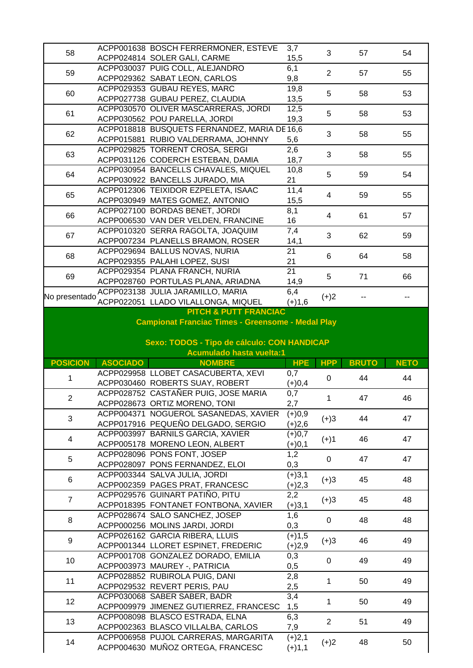| 58              |                                             | ACPP001638 BOSCH FERRERMONER, ESTEVE<br>ACPP024814 SOLER GALI, CARME                | 3,7<br>15,5                  | 3              | 57           | 54          |  |
|-----------------|---------------------------------------------|-------------------------------------------------------------------------------------|------------------------------|----------------|--------------|-------------|--|
| 59              |                                             | ACPP030037 PUIG COLL, ALEJANDRO<br>ACPP029362 SABAT LEON, CARLOS                    | 6,1<br>9,8                   | $\overline{2}$ | 57           | 55          |  |
| 60              |                                             | ACPP029353 GUBAU REYES, MARC<br>ACPP027738 GUBAU PEREZ, CLAUDIA                     | 19,8<br>13,5                 | 5              | 58           | 53          |  |
| 61              |                                             | ACPP030570 OLIVER MASCARRERAS, JORDI<br>ACPP030562 POU PARELLA, JORDI               | 12,5<br>19,3                 | 5              | 58           | 53          |  |
| 62              |                                             | ACPP018818 BUSQUETS FERNANDEZ, MARIA DE 16,6<br>ACPP015881 RUBIO VALDERRAMA, JOHNNY | 5,6                          | 3              | 58           | 55          |  |
| 63              |                                             | ACPP029825 TORRENT CROSA, SERGI<br>ACPP031126 CODERCH ESTEBAN, DAMIA                | 2,6<br>18,7                  | 3              | 58           | 55          |  |
| 64              |                                             | ACPP030954 BANCELLS CHAVALES, MIQUEL<br>ACPP030922 BANCELLS JURADO, MIA             | 10,8<br>21                   | 5              | 59           | 54          |  |
| 65              |                                             | ACPP012306 TEIXIDOR EZPELETA, ISAAC<br>ACPP030949 MATES GOMEZ, ANTONIO              | 11,4<br>15,5                 | 4              | 59           | 55          |  |
| 66              |                                             | ACPP027100 BORDAS BENET, JORDI<br>ACPP006530 VAN DER VELDEN, FRANCINE               | 8,1<br>16                    | 4              | 61           | 57          |  |
| 67              |                                             | ACPP010320 SERRA RAGOLTA, JOAQUIM<br>ACPP007234 PLANELLS BRAMON, ROSER              | 7,4<br>14,1                  | 3              | 62           | 59          |  |
| 68              |                                             | ACPP029694 BALLUS NOVAS, NURIA<br>ACPP029355 PALAHI LOPEZ, SUSI                     | 21<br>21                     | 6              | 64           | 58          |  |
| 69              |                                             | ACPP029354 PLANA FRANCH, NURIA<br>ACPP028760 PORTULAS PLANA, ARIADNA                | 21<br>14,9                   | 5              | 71           | 66          |  |
| No presentado   |                                             | ACPP023138 JULIA JARAMILLO, MARIA<br>ACPP022051 LLADO VILALLONGA, MIQUEL            | $\overline{6,4}$<br>$(+)1,6$ | $(+)2$         |              |             |  |
|                 |                                             | <b>PITCH &amp; PUTT FRANCIAC</b>                                                    |                              |                |              |             |  |
|                 |                                             | <b>Campionat Franciac Times - Greensome - Medal Play</b>                            |                              |                |              |             |  |
|                 | Sexo: TODOS - Tipo de cálculo: CON HANDICAP |                                                                                     |                              |                |              |             |  |
|                 |                                             |                                                                                     |                              |                |              |             |  |
|                 |                                             | <b>Acumulado hasta vuelta:1</b>                                                     |                              |                |              |             |  |
| <b>POSICION</b> | <b>ASOCIADO</b>                             | <b>NOMBRE</b>                                                                       | <b>HPE</b>                   | <b>HPP</b>     | <b>BRUTO</b> | <b>NETO</b> |  |
| 1               |                                             | ACPP029958 LLOBET CASACUBERTA, XEVI                                                 | 0,7                          | 0              | 44           | 44          |  |
|                 |                                             | ACPP030460 ROBERTS SUAY, ROBERT                                                     | $(+)0,4$                     |                |              |             |  |
| $\overline{2}$  |                                             | ACPP028752 CASTAÑER PUIG, JOSE MARIA                                                | 0,7                          | $\mathbf 1$    | 47           | 46          |  |
|                 |                                             | ACPP028673 ORTIZ MORENO, TONI                                                       | 2,7                          |                |              |             |  |
| 3               |                                             | ACPP004371 NOGUEROL SASANEDAS, XAVIER                                               | $(+)0,9$                     | $(+)3$         | 44           | 47          |  |
|                 |                                             | ACPP017916 PEQUEÑO DELGADO, SERGIO<br>ACPP003997 BARNILS GARCIA, XAVIER             | $(+)2,6$<br>$(+)0,7$         |                |              |             |  |
| 4               |                                             | ACPP005178 MORENO LEON, ALBERT                                                      | $(+)0,1$                     | $(+)1$         | 46           | 47          |  |
|                 |                                             | ACPP028096 PONS FONT, JOSEP                                                         | 1,2                          |                |              |             |  |
| 5               |                                             | ACPP028097 PONS FERNANDEZ, ELOI                                                     | 0,3                          | $\mathbf 0$    | 47           | 47          |  |
| 6               |                                             | ACPP003344 SALVA JULIA, JORDI                                                       | $(+)3,1$                     |                | 45           | 48          |  |
|                 |                                             | ACPP002359 PAGES PRAT, FRANCESC                                                     | $(+)2,3$                     | $(+)3$         |              |             |  |
| $\overline{7}$  |                                             | ACPP029576 GUINART PATIÑO, PITU                                                     | 2,2                          | $(+)3$         | 45           | 48          |  |
|                 |                                             | ACPP018395 FONTANET FONTBONA, XAVIER                                                | $(+)3,1$                     |                |              |             |  |
| 8               |                                             | ACPP028674 SALO SANCHEZ, JOSEP                                                      | 1,6                          | 0              | 48           | 48          |  |
| 9               |                                             | ACPP000256 MOLINS JARDI, JORDI<br>ACPP026162 GARCIA RIBERA, LLUIS                   | 0,3<br>$(+)1,5$              | $(+)3$         | 46           | 49          |  |
|                 |                                             | ACPP001344 LLORET ESPINET, FREDERIC                                                 | $(+)2,9$                     |                |              |             |  |
| 10              |                                             | ACPP001708 GONZALEZ DORADO, EMILIA<br>ACPP003973 MAUREY -, PATRICIA                 | 0,3<br>0,5                   | $\pmb{0}$      | 49           | 49          |  |
| 11              |                                             | ACPP028852 RUBIROLA PUIG, DANI<br>ACPP029532 REVERT PERIS, PAU                      | 2,8<br>2,5                   | $\mathbf{1}$   | 50           | 49          |  |
| 12              |                                             | ACPP030068 SABER SABER, BADR<br>ACPP009979 JIMENEZ GUTIERREZ, FRANCESC              | 3,4<br>1,5                   | 1              | 50           | 49          |  |
| 13              |                                             | ACPP008098 BLASCO ESTRADA, ELNA<br>ACPP002363 BLASCO VILLALBA, CARLOS               | 6,3<br>7,9                   | $\overline{2}$ | 51           | 49          |  |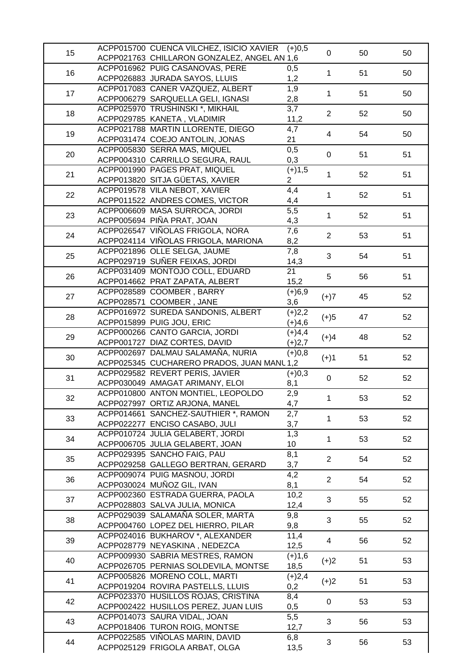| 15 | ACPP015700 CUENCA VILCHEZ, ISICIO XAVIER    | $(+)0,5$         | $\mathbf 0$             | 50 | 50 |
|----|---------------------------------------------|------------------|-------------------------|----|----|
|    | ACPP021763 CHILLARON GONZALEZ, ANGEL AN 1,6 |                  |                         |    |    |
|    | ACPP016962 PUIG CASANOVAS, PERE             | 0,5              |                         |    |    |
| 16 | ACPP026883 JURADA SAYOS, LLUIS              | 1,2              | $\mathbf{1}$            | 51 | 50 |
|    | ACPP017083 CANER VAZQUEZ, ALBERT            | 1,9              |                         |    |    |
| 17 | ACPP006279 SARQUELLA GELI, IGNASI           | 2,8              | $\mathbf{1}$            | 51 | 50 |
|    | ACPP025970 TRUSHINSKI *, MIKHAIL            | 3,7              |                         |    |    |
| 18 |                                             |                  | $\overline{2}$          | 52 | 50 |
|    | ACPP029785 KANETA, VLADIMIR                 | 11,2             |                         |    |    |
| 19 | ACPP021788 MARTIN LLORENTE, DIEGO           | 4,7              | $\overline{4}$          | 54 | 50 |
|    | ACPP031474 COEJO ANTOLIN, JONAS             | 21               |                         |    |    |
| 20 | ACPP005830 SERRA MAS, MIQUEL                | $\overline{0,5}$ | $\pmb{0}$               | 51 | 51 |
|    | ACPP004310 CARRILLO SEGURA, RAUL            | 0,3              |                         |    |    |
|    | ACPP001990 PAGES PRAT, MIQUEL               | $(+)1,5$         |                         |    |    |
| 21 | ACPP013820 SITJA GÜETAS, XAVIER             | $\overline{2}$   | $\mathbf{1}$            | 52 | 51 |
|    | ACPP019578 VILA NEBOT, XAVIER               | 4,4              |                         |    |    |
| 22 | ACPP011522 ANDRES COMES, VICTOR             | 4,4              | $\mathbf{1}$            | 52 | 51 |
|    | ACPP006609 MASA SURROCA, JORDI              | 5,5              |                         |    |    |
| 23 | ACPP005694 PIÑA PRAT, JOAN                  |                  | $\mathbf{1}$            | 52 | 51 |
|    |                                             | 4,3              |                         |    |    |
| 24 | ACPP026547 VIÑOLAS FRIGOLA, NORA            | 7,6              | $\overline{2}$          | 53 | 51 |
|    | ACPP024114 VIÑOLAS FRIGOLA, MARIONA         | 8,2              |                         |    |    |
| 25 | ACPP021896 OLLE SELGA, JAUME                | 7,8              | 3                       | 54 | 51 |
|    | ACPP029719 SUÑER FEIXAS, JORDI              | 14,3             |                         |    |    |
|    | ACPP031409 MONTOJO COLL, EDUARD             | 21               | 5                       |    |    |
| 26 | ACPP014662 PRAT ZAPATA, ALBERT              | 15,2             |                         | 56 | 51 |
|    | ACPP028589 COOMBER, BARRY                   | $(+)6,9$         |                         |    |    |
| 27 | ACPP028571 COOMBER, JANE                    | 3,6              | $(+)7$                  | 45 | 52 |
|    | ACPP016972 SUREDA SANDONIS, ALBERT          | $(+)2,2$         |                         |    |    |
| 28 |                                             |                  | $(+)5$                  | 47 | 52 |
|    | ACPP015899 PUIG JOU, ERIC                   | $(+)4,6$         |                         |    |    |
| 29 | ACPP000266 CANTO GARCIA, JORDI              | $(+)4,4$         | $(+)4$                  | 48 | 52 |
|    | ACPP001727 DIAZ CORTES, DAVID               | $(+)2,7$         |                         |    |    |
| 30 | ACPP002697 DALMAU SALAMAÑA, NURIA           | $(+)0,8$         | $(+)1$                  | 51 | 52 |
|    | ACPP025345 CUCHARERO PRADOS, JUAN MANL 1,2  |                  |                         |    |    |
| 31 | ACPP029582 REVERT PERIS, JAVIER             | $(+)0,3$         | $\pmb{0}$               | 52 | 52 |
|    | ACPP030049 AMAGAT ARIMANY, ELOI             | 8,1              |                         |    |    |
|    | ACPP010800 ANTON MONTIEL, LEOPOLDO          | 2,9              |                         |    |    |
| 32 | ACPP027997 ORTIZ ARJONA, MANEL              | 4,7              | 1                       | 53 | 52 |
|    | ACPP014661 SANCHEZ-SAUTHIER *, RAMON        | 2,7              |                         |    |    |
| 33 | ACPP022277 ENCISO CASABO, JULI              | 3,7              | $\mathbf{1}$            | 53 | 52 |
|    | ACPP010724 JULIA GELABERT, JORDI            | 1,3              |                         |    |    |
| 34 |                                             |                  | $\mathbf{1}$            | 53 | 52 |
|    | ACPP006705 JULIA GELABERT, JOAN             | 10               |                         |    |    |
| 35 | ACPP029395 SANCHO FAIG, PAU                 | 8,1              | $\overline{2}$          | 54 | 52 |
|    | ACPP029258 GALLEGO BERTRAN, GERARD          | 3,7              |                         |    |    |
| 36 | ACPP009074 PUIG MASNOU, JORDI               | 4,2              | $\overline{2}$          | 54 | 52 |
|    | ACPP030024 MUÑOZ GIL, IVAN                  | 8,1              |                         |    |    |
|    | ACPP002360 ESTRADA GUERRA, PAOLA            | 10,2             | 3                       |    |    |
| 37 | ACPP028803 SALVA JULIA, MONICA              | 12,4             |                         | 55 | 52 |
|    | ACPP029039 SALAMAÑA SOLER, MARTA            | 9,8              |                         |    |    |
| 38 | ACPP004760 LOPEZ DEL HIERRO, PILAR          | 9,8              | 3                       | 55 | 52 |
|    | ACPP024016 BUKHAROV *, ALEXANDER            | 11,4             |                         |    |    |
| 39 | ACPP028779 NEYASKINA, NEDEZCA               | 12,5             | $\overline{\mathbf{4}}$ | 56 | 52 |
|    | ACPP009930 SABRIA MESTRES, RAMON            |                  |                         |    |    |
| 40 |                                             | $(+)1,6$         | $(+)2$                  | 51 | 53 |
|    | ACPP026705 PERNIAS SOLDEVILA, MONTSE        | 18,5             |                         |    |    |
| 41 | ACPP005826 MORENO COLL, MARTI               | $(+)2,4$         | $(+)2$                  | 51 | 53 |
|    | ACPP019204 ROVIRA PASTELLS, LLUIS           | 0,2              |                         |    |    |
| 42 | ACPP023370 HUSILLOS ROJAS, CRISTINA         | 8,4              | 0                       | 53 | 53 |
|    |                                             |                  |                         |    |    |
|    | ACPP002422 HUSILLOS PEREZ, JUAN LUIS        | 0,5              |                         |    |    |
|    | ACPP014073 SAURA VIDAL, JOAN                | 5,5              |                         |    |    |
| 43 | ACPP018406 TURON ROIG, MONTSE               | 12,7             | 3                       | 56 | 53 |
| 44 | ACPP022585 VIÑOLAS MARIN, DAVID             | 6,8              | 3                       | 56 | 53 |